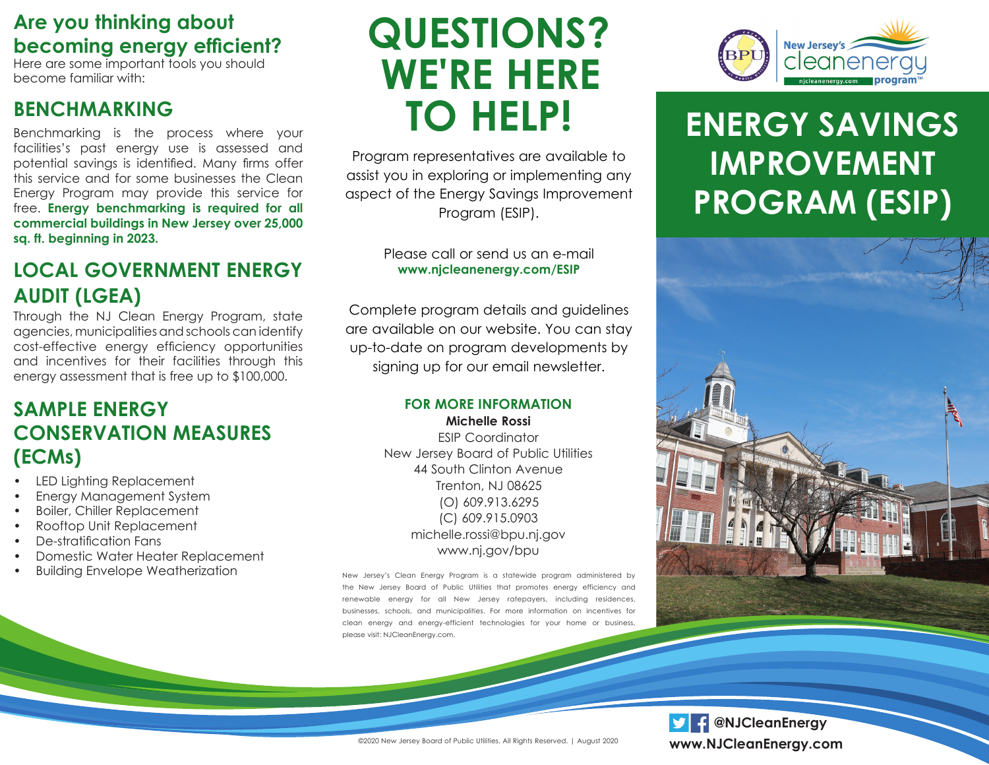## **Are you thinking about becoming energy efficient?**

Here are some important tools you should become familiar with:

## **BENCHMARKING**

Benchmarking is the process where your facilities's past energy use is assessed and potential savings is identified. Many firms offer this service and for some businesses the Clean Energy Program may provide this service for free. **Energy benchmarking is required for all commercial buildings in New Jersey over 25,000 sq. ft. beginning in 2023.** 

## **LOCAL GOVERNMENT ENERGY AUDIT (LGEA)**

Through the NJ Clean Energy Program, state agencies, municipalities and schools can identify cost-effective energy efficiency opportunities and incentives for their facilities through this energy assessment that is free up to \$100,000.

## **SAMPLE ENERGY CONSERVATION MEASURES (ECMs)**

- LED Lighting Replacement
- Energy Management System
- Boiler, Chiller Replacement
- Rooftop Unit Replacement
- De-stratification Fans
- Domestic Water Heater Replacement
- Building Envelope Weatherization

# **QUESTIONS? WE'RE HERE TO HELP!**

Program representatives are available to assist you in exploring or implementing any aspect of the Energy Savings Improvement Program (ESIP).

#### Please call or send us an e-mail **www.njcleanenergy.com/ESIP**

Complete program details and guidelines are available on our website. You can stay up-to-date on program developments by signing up for our email newsletter.

#### **FOR MORE INFORMATION Michelle Rossi**

ESIP Coordinator New Jersey Board of Public Utilities 44 South Clinton Avenue Trenton, NJ 08625 (O) 609.913.6295 (C) 609.915.0903 michelle.rossi@bpu.nj.gov www.nj.gov/bpu

New Jersey's Clean Energy Program is a statewide program administered by the New Jersey Board of Public Utilities that promotes energy efficiency and renewable energy for all New Jersey ratepayers, including residences, businesses, schools, and municipalities. For more information on incentives for clean energy and energy-efficient technologies for your home or business, please visit: NJCleanEnergy.com.



## **ENERGY SAVINGS IMPROVEMENT PROGRAM (ESIP)**